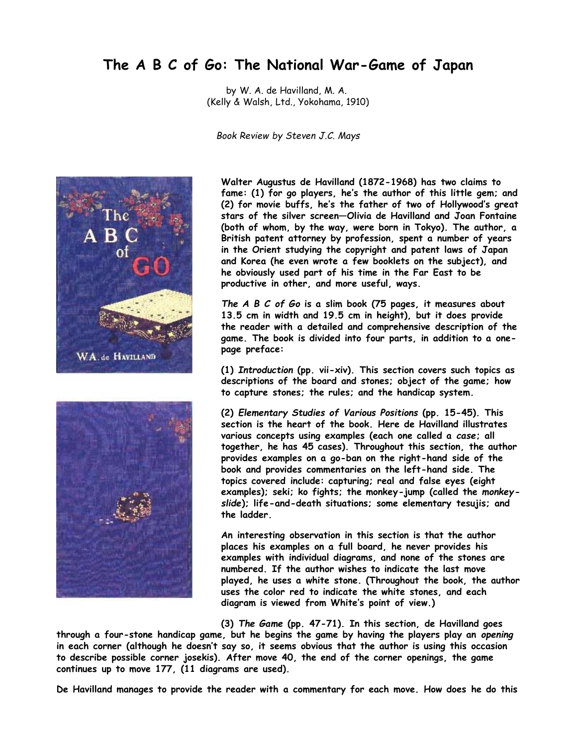## **The A B C of Go: The National War-Game of Japan**

by W. A. de Havilland, M. A. (Kelly & Walsh, Ltd., Yokohama, 1910)

*Book Review by Steven J.C. Mays*





**Walter Augustus de Havilland (1872-1968) has two claims to fame: (1) for go players, he's the author of this little gem; and (2) for movie buffs, he's the father of two of Hollywood's great stars of the silver screen—Olivia de Havilland and Joan Fontaine (both of whom, by the way, were born in Tokyo). The author, a British patent attorney by profession, spent a number of years in the Orient studying the copyright and patent laws of Japan and Korea (he even wrote a few booklets on the subject), and he obviously used part of his time in the Far East to be productive in other, and more useful, ways.**

*The A B C of Go* **is a slim book (75 pages, it measures about 13.5 cm in width and 19.5 cm in height), but it does provide the reader with a detailed and comprehensive description of the game. The book is divided into four parts, in addition to a onepage preface:**

**(1)** *Introduction* **(pp. vii-xiv). This section covers such topics as descriptions of the board and stones; object of the game; how to capture stones; the rules; and the handicap system.**

**(2)** *Elementary Studies of Various Positions* **(pp. 15-45). This section is the heart of the book. Here de Havilland illustrates various concepts using examples (each one called a** *case***; all together, he has 45 cases). Throughout this section, the author provides examples on a go-ban on the right-hand side of the book and provides commentaries on the left-hand side. The topics covered include: capturing; real and false eyes (eight examples); seki; ko fights; the monkey-jump (called the** *monkeyslide***); life-and-death situations; some elementary tesujis; and the ladder.**

**An interesting observation in this section is that the author places his examples on a full board, he never provides his examples with individual diagrams, and none of the stones are numbered. If the author wishes to indicate the last move played, he uses a white stone. (Throughout the book, the author uses the color red to indicate the white stones, and each diagram is viewed from White's point of view.)**

**(3)** *The Game* **(pp. 47-71). In this section, de Havilland goes**

**through a four-stone handicap game, but he begins the game by having the players play an** *opening* **in each corner (although he doesn't say so, it seems obvious that the author is using this occasion to describe possible corner josekis). After move 40, the end of the corner openings, the game continues up to move 177, (11 diagrams are used).**

**De Havilland manages to provide the reader with a commentary for each move. How does he do this**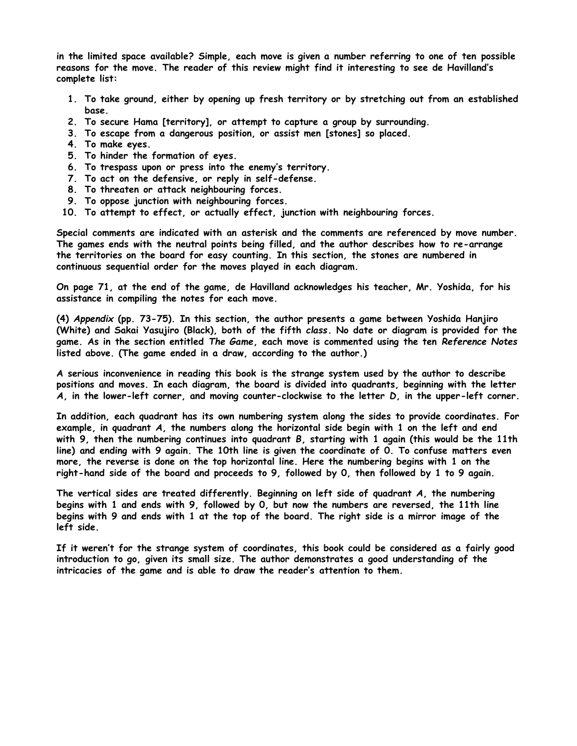**in the limited space available? Simple, each move is given a number referring to one of ten possible reasons for the move. The reader of this review might find it interesting to see de Havilland's complete list:**

- **1. To take ground, either by opening up fresh territory or by stretching out from an established base.**
- **2. To secure Hama [territory], or attempt to capture a group by surrounding.**
- **3. To escape from a dangerous position, or assist men [stones] so placed.**
- **4. To make eyes.**
- **5. To hinder the formation of eyes.**
- **6. To trespass upon or press into the enemy's territory.**
- **7. To act on the defensive, or reply in self-defense.**
- **8. To threaten or attack neighbouring forces.**
- **9. To oppose junction with neighbouring forces.**
- **10. To attempt to effect, or actually effect, junction with neighbouring forces.**

**Special comments are indicated with an asterisk and the comments are referenced by move number. The games ends with the neutral points being filled, and the author describes how to re-arrange the territories on the board for easy counting. In this section, the stones are numbered in continuous sequential order for the moves played in each diagram.**

**On page 71, at the end of the game, de Havilland acknowledges his teacher, Mr. Yoshida, for his assistance in compiling the notes for each move.**

**(4)** *Appendix* **(pp. 73-75). In this section, the author presents a game between Yoshida Hanjiro (White) and Sakai Yasujiro (Black), both of the fifth** *class***. No date or diagram is provided for the game. As in the section entitled** *The Game***, each move is commented using the ten** *Reference Notes* **listed above. (The game ended in a draw, according to the author.)**

**A serious inconvenience in reading this book is the strange system used by the author to describe positions and moves. In each diagram, the board is divided into quadrants, beginning with the letter** *A***, in the lower-left corner, and moving counter-clockwise to the letter** *D***, in the upper-left corner.**

**In addition, each quadrant has its own numbering system along the sides to provide coordinates. For example, in quadrant** *A***, the numbers along the horizontal side begin with 1 on the left and end with 9, then the numbering continues into quadrant** *B***, starting with 1 again (this would be the 11th line) and ending with 9 again. The 10th line is given the coordinate of 0. To confuse matters even more, the reverse is done on the top horizontal line. Here the numbering begins with 1 on the right-hand side of the board and proceeds to 9, followed by 0, then followed by 1 to 9 again.**

**The vertical sides are treated differently. Beginning on left side of quadrant** *A***, the numbering begins with 1 and ends with 9, followed by 0, but now the numbers are reversed, the 11th line begins with 9 and ends with 1 at the top of the board. The right side is a mirror image of the left side.**

**If it weren't for the strange system of coordinates, this book could be considered as a fairly good introduction to go, given its small size. The author demonstrates a good understanding of the intricacies of the game and is able to draw the reader's attention to them.**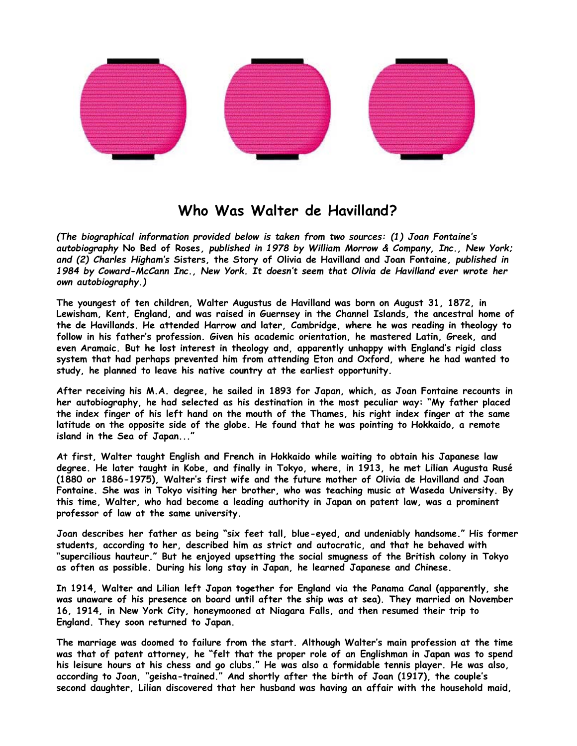

## **Who Was Walter de Havilland?**

*(The biographical information provided below is taken from two sources: (1) Joan Fontaine's autobiography* **No Bed of Roses***, published in 1978 by William Morrow & Company, Inc., New York; and (2) Charles Higham's* **Sisters, the Story of Olivia de Havilland and Joan Fontaine***, published in 1984 by Coward-McCann Inc., New York. It doesn't seem that Olivia de Havilland ever wrote her own autobiography.)*

**The youngest of ten children, Walter Augustus de Havilland was born on August 31, 1872, in Lewisham, Kent, England, and was raised in Guernsey in the Channel Islands, the ancestral home of the de Havillands. He attended Harrow and later, Cambridge, where he was reading in theology to follow in his father's profession. Given his academic orientation, he mastered Latin, Greek, and even Aramaic. But he lost interest in theology and, apparently unhappy with England's rigid class system that had perhaps prevented him from attending Eton and Oxford, where he had wanted to study, he planned to leave his native country at the earliest opportunity.**

**After receiving his M.A. degree, he sailed in 1893 for Japan, which, as Joan Fontaine recounts in her autobiography, he had selected as his destination in the most peculiar way: "My father placed the index finger of his left hand on the mouth of the Thames, his right index finger at the same latitude on the opposite side of the globe. He found that he was pointing to Hokkaido, a remote island in the Sea of Japan..."**

**At first, Walter taught English and French in Hokkaido while waiting to obtain his Japanese law degree. He later taught in Kobe, and finally in Tokyo, where, in 1913, he met Lilian Augusta Rusé (1880 or 1886-1975), Walter's first wife and the future mother of Olivia de Havilland and Joan Fontaine. She was in Tokyo visiting her brother, who was teaching music at Waseda University. By this time, Walter, who had become a leading authority in Japan on patent law, was a prominent professor of law at the same university.**

**Joan describes her father as being "six feet tall, blue-eyed, and undeniably handsome." His former students, according to her, described him as strict and autocratic, and that he behaved with "supercilious hauteur." But he enjoyed upsetting the social smugness of the British colony in Tokyo as often as possible. During his long stay in Japan, he learned Japanese and Chinese.**

**In 1914, Walter and Lilian left Japan together for England via the Panama Canal (apparently, she was unaware of his presence on board until after the ship was at sea). They married on November 16, 1914, in New York City, honeymooned at Niagara Falls, and then resumed their trip to England. They soon returned to Japan.**

**The marriage was doomed to failure from the start. Although Walter's main profession at the time was that of patent attorney, he "felt that the proper role of an Englishman in Japan was to spend his leisure hours at his chess and go clubs." He was also a formidable tennis player. He was also, according to Joan, "geisha-trained." And shortly after the birth of Joan (1917), the couple's second daughter, Lilian discovered that her husband was having an affair with the household maid,**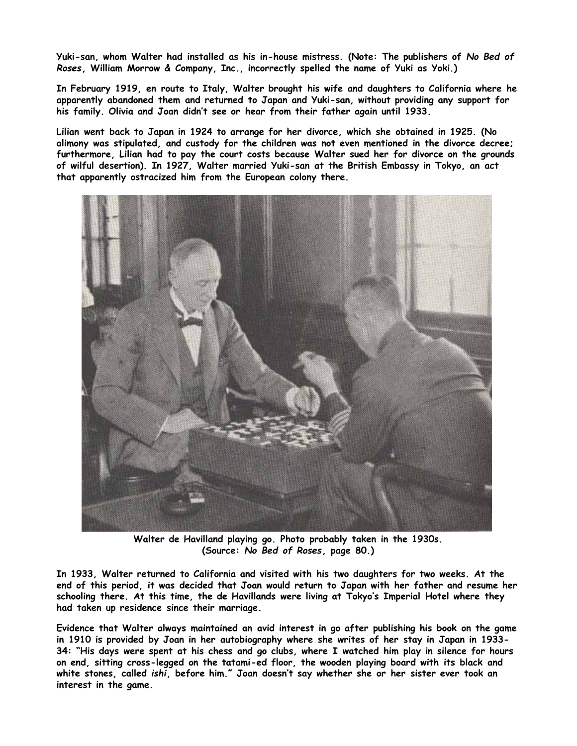**Yuki-san, whom Walter had installed as his in-house mistress. (Note: The publishers of** *No Bed of Roses***, William Morrow & Company, Inc., incorrectly spelled the name of Yuki as Yoki.)**

**In February 1919, en route to Italy, Walter brought his wife and daughters to California where he apparently abandoned them and returned to Japan and Yuki-san, without providing any support for his family. Olivia and Joan didn't see or hear from their father again until 1933.**

**Lilian went back to Japan in 1924 to arrange for her divorce, which she obtained in 1925. (No alimony was stipulated, and custody for the children was not even mentioned in the divorce decree; furthermore, Lilian had to pay the court costs because Walter sued her for divorce on the grounds of wilful desertion). In 1927, Walter married Yuki-san at the British Embassy in Tokyo, an act that apparently ostracized him from the European colony there.**



**Walter de Havilland playing go. Photo probably taken in the 1930s. (Source:** *No Bed of Roses***, page 80.)**

**In 1933, Walter returned to California and visited with his two daughters for two weeks. At the end of this period, it was decided that Joan would return to Japan with her father and resume her schooling there. At this time, the de Havillands were living at Tokyo's Imperial Hotel where they had taken up residence since their marriage.**

**Evidence that Walter always maintained an avid interest in go after publishing his book on the game in 1910 is provided by Joan in her autobiography where she writes of her stay in Japan in 1933- 34: "His days were spent at his chess and go clubs, where I watched him play in silence for hours on end, sitting cross-legged on the tatami-ed floor, the wooden playing board with its black and white stones, called** *ishi***, before him." Joan doesn't say whether she or her sister ever took an interest in the game.**